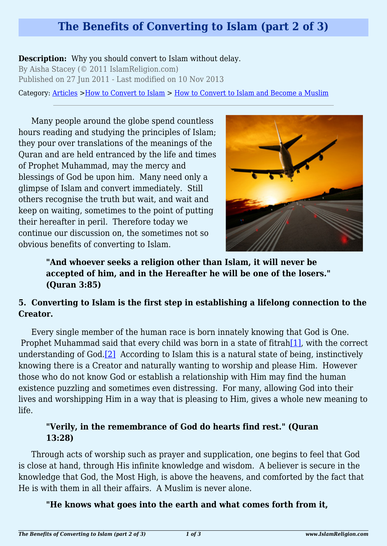# **The Benefits of Converting to Islam (part 2 of 3)**

#### **Description:** Why you should convert to Islam without delay.

By Aisha Stacey (© 2011 IslamReligion.com) Published on 27 Jun 2011 - Last modified on 10 Nov 2013

Category: [Articles](http://www.islamreligion.com/articles/) >[How to Convert to Islam](http://www.islamreligion.com/category/124/) > [How to Convert to Islam and Become a Muslim](http://www.islamreligion.com/category/54/)

Many people around the globe spend countless hours reading and studying the principles of Islam; they pour over translations of the meanings of the Quran and are held entranced by the life and times of Prophet Muhammad, may the mercy and blessings of God be upon him. Many need only a glimpse of Islam and convert immediately. Still others recognise the truth but wait, and wait and keep on waiting, sometimes to the point of putting their hereafter in peril. Therefore today we continue our discussion on, the sometimes not so obvious benefits of converting to Islam.



**"And whoever seeks a religion other than Islam, it will never be accepted of him, and in the Hereafter he will be one of the losers." (Quran 3:85)**

#### **5. Converting to Islam is the first step in establishing a lifelong connection to the Creator.**

<span id="page-0-1"></span><span id="page-0-0"></span>Every single member of the human race is born innately knowing that God is One. Prophet Muhammad said that every child was born in a state of fitrah $[1]$ , with the correct understanding of God[.\[2\]](#page-2-1) According to Islam this is a natural state of being, instinctively knowing there is a Creator and naturally wanting to worship and please Him. However those who do not know God or establish a relationship with Him may find the human existence puzzling and sometimes even distressing. For many, allowing God into their lives and worshipping Him in a way that is pleasing to Him, gives a whole new meaning to life.

#### **"Verily, in the remembrance of God do hearts find rest." (Quran 13:28)**

Through acts of worship such as prayer and supplication, one begins to feel that God is close at hand, through His infinite knowledge and wisdom. A believer is secure in the knowledge that God, the Most High, is above the heavens, and comforted by the fact that He is with them in all their affairs. A Muslim is never alone.

#### **"He knows what goes into the earth and what comes forth from it,**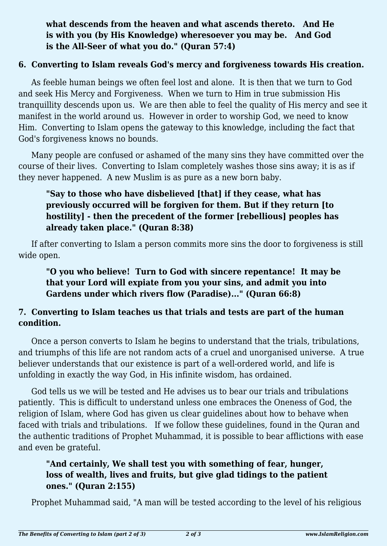# **what descends from the heaven and what ascends thereto. And He is with you (by His Knowledge) wheresoever you may be. And God is the All-Seer of what you do." (Quran 57:4)**

#### **6. Converting to Islam reveals God's mercy and forgiveness towards His creation.**

As feeble human beings we often feel lost and alone. It is then that we turn to God and seek His Mercy and Forgiveness. When we turn to Him in true submission His tranquillity descends upon us. We are then able to feel the quality of His mercy and see it manifest in the world around us. However in order to worship God, we need to know Him. Converting to Islam opens the gateway to this knowledge, including the fact that God's forgiveness knows no bounds.

Many people are confused or ashamed of the many sins they have committed over the course of their lives. Converting to Islam completely washes those sins away; it is as if they never happened. A new Muslim is as pure as a new born baby.

# **"Say to those who have disbelieved [that] if they cease, what has previously occurred will be forgiven for them. But if they return [to hostility] - then the precedent of the former [rebellious] peoples has already taken place." (Quran 8:38)**

If after converting to Islam a person commits more sins the door to forgiveness is still wide open.

**"O you who believe! Turn to God with sincere repentance! It may be that your Lord will expiate from you your sins, and admit you into Gardens under which rivers flow (Paradise)..." (Quran 66:8)**

# **7. Converting to Islam teaches us that trials and tests are part of the human condition.**

Once a person converts to Islam he begins to understand that the trials, tribulations, and triumphs of this life are not random acts of a cruel and unorganised universe. A true believer understands that our existence is part of a well-ordered world, and life is unfolding in exactly the way God, in His infinite wisdom, has ordained.

God tells us we will be tested and He advises us to bear our trials and tribulations patiently. This is difficult to understand unless one embraces the Oneness of God, the religion of Islam, where God has given us clear guidelines about how to behave when faced with trials and tribulations. If we follow these guidelines, found in the Quran and the authentic traditions of Prophet Muhammad, it is possible to bear afflictions with ease and even be grateful.

# **"And certainly, We shall test you with something of fear, hunger, loss of wealth, lives and fruits, but give glad tidings to the patient ones." (Quran 2:155)**

Prophet Muhammad said, "A man will be tested according to the level of his religious